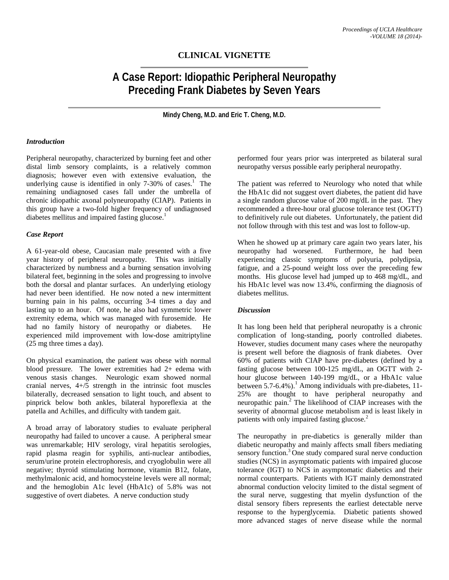## **CLINICAL VIGNETTE**

# **A Case Report: Idiopathic Peripheral Neuropathy Preceding Frank Diabetes by Seven Years**

**Mindy Cheng, M.D. and Eric T. Cheng, M.D.**

#### *Introduction*

Peripheral neuropathy, characterized by burning feet and other distal limb sensory complaints, is a relatively common diagnosis; however even with extensive evaluation, the underlying cause is identified in only 7-30% of cases. 1 The remaining undiagnosed cases fall under the umbrella of chronic idiopathic axonal polyneuropathy (CIAP). Patients in this group have a two-fold higher frequency of undiagnosed diabetes mellitus and impaired fasting glucose.<sup>1</sup>

#### *Case Report*

A 61-year-old obese, Caucasian male presented with a five year history of peripheral neuropathy. This was initially characterized by numbness and a burning sensation involving bilateral feet, beginning in the soles and progressing to involve both the dorsal and plantar surfaces. An underlying etiology had never been identified. He now noted a new intermittent burning pain in his palms, occurring 3-4 times a day and lasting up to an hour. Of note, he also had symmetric lower extremity edema, which was managed with furosemide. He had no family history of neuropathy or diabetes. He experienced mild improvement with low-dose amitriptyline (25 mg three times a day).

On physical examination, the patient was obese with normal blood pressure. The lower extremities had 2+ edema with venous stasis changes. Neurologic exam showed normal cranial nerves, 4+/5 strength in the intrinsic foot muscles bilaterally, decreased sensation to light touch, and absent to pinprick below both ankles, bilateral hyporeflexia at the patella and Achilles, and difficulty with tandem gait.

A broad array of laboratory studies to evaluate peripheral neuropathy had failed to uncover a cause. A peripheral smear was unremarkable; HIV serology, viral hepatitis serologies, rapid plasma reagin for syphilis, anti-nuclear antibodies, serum/urine protein electrophoresis, and cryoglobulin were all negative; thyroid stimulating hormone, vitamin B12, folate, methylmalonic acid, and homocysteine levels were all normal; and the hemoglobin A1c level (HbA1c) of 5.8% was not suggestive of overt diabetes. A nerve conduction study

performed four years prior was interpreted as bilateral sural neuropathy versus possible early peripheral neuropathy.

The patient was referred to Neurology who noted that while the HbA1c did not suggest overt diabetes, the patient did have a single random glucose value of 200 mg/dL in the past. They recommended a three-hour oral glucose tolerance test (OGTT) to definitively rule out diabetes. Unfortunately, the patient did not follow through with this test and was lost to follow-up.

When he showed up at primary care again two years later, his neuropathy had worsened. Furthermore, he had been experiencing classic symptoms of polyuria, polydipsia, fatigue, and a 25-pound weight loss over the preceding few months. His glucose level had jumped up to 468 mg/dL, and his HbA1c level was now 13.4%, confirming the diagnosis of diabetes mellitus.

#### *Discussion*

It has long been held that peripheral neuropathy is a chronic complication of long-standing, poorly controlled diabetes. However, studies document many cases where the neuropathy is present well before the diagnosis of frank diabetes. Over 60% of patients with CIAP have pre-diabetes (defined by a fasting glucose between 100-125 mg/dL, an OGTT with 2 hour glucose between 140-199 mg/dL, or a HbA1c value between 5.7-6.4%).<sup>1</sup> Among individuals with pre-diabetes, 11-25% are thought to have peripheral neuropathy and neuropathic pain. <sup>2</sup> The likelihood of CIAP increases with the severity of abnormal glucose metabolism and is least likely in patients with only impaired fasting glucose.<sup>2</sup>

The neuropathy in pre-diabetics is generally milder than diabetic neuropathy and mainly affects small fibers mediating sensory function.<sup>3</sup> One study compared sural nerve conduction studies (NCS) in asymptomatic patients with impaired glucose tolerance (IGT) to NCS in asymptomatic diabetics and their normal counterparts. Patients with IGT mainly demonstrated abnormal conduction velocity limited to the distal segment of the sural nerve, suggesting that myelin dysfunction of the distal sensory fibers represents the earliest detectable nerve response to the hyperglycemia. Diabetic patients showed more advanced stages of nerve disease while the normal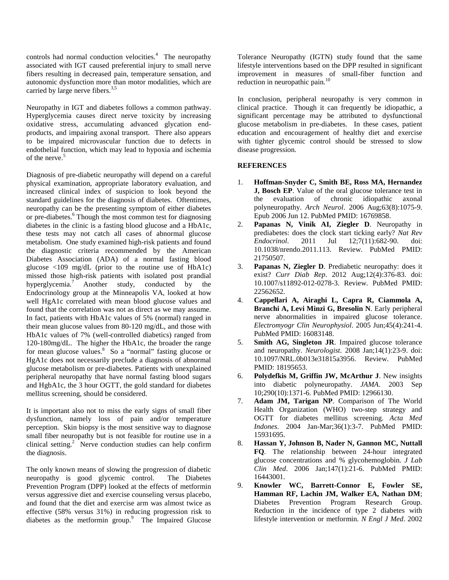controls had normal conduction velocities.<sup>4</sup> The neuropathy associated with IGT caused preferential injury to small nerve fibers resulting in decreased pain, temperature sensation, and autonomic dysfunction more than motor modalities, which are carried by large nerve fibers. $3,5$ 

Neuropathy in IGT and diabetes follows a common pathway. Hyperglycemia causes direct nerve toxicity by increasing oxidative stress, accumulating advanced glycation endproducts, and impairing axonal transport. There also appears to be impaired microvascular function due to defects in endothelial function, which may lead to hypoxia and ischemia of the nerve.<sup>5</sup>

Diagnosis of pre-diabetic neuropathy will depend on a careful physical examination, appropriate laboratory evaluation, and increased clinical index of suspicion to look beyond the standard guidelines for the diagnosis of diabetes. Oftentimes, neuropathy can be the presenting symptom of either diabetes or pre-diabetes. <sup>6</sup> Though the most common test for diagnosing diabetes in the clinic is a fasting blood glucose and a HbA1c, these tests may not catch all cases of abnormal glucose metabolism. One study examined high-risk patients and found the diagnostic criteria recommended by the American Diabetes Association (ADA) of a normal fasting blood glucose <109 mg/dL (prior to the routine use of HbA1c) missed those high-risk patients with isolated post prandial hyperglycemia.7 Another study, conducted by the Endocrinology group at the Minneapolis VA, looked at how well HgA1c correlated with mean blood glucose values and found that the correlation was not as direct as we may assume. In fact, patients with HbA1c values of 5% (normal) ranged in their mean glucose values from 80-120 mg/dL, and those with HbA1c values of 7% (well-controlled diabetics) ranged from 120-180mg/dL. The higher the HbA1c, the broader the range for mean glucose values. 8 So a "normal" fasting glucose or HgA1c does not necessarily preclude a diagnosis of abnormal glucose metabolism or pre-diabetes. Patients with unexplained peripheral neuropathy that have normal fasting blood sugars and HgbA1c, the 3 hour OGTT, the gold standard for diabetes mellitus screening, should be considered.

It is important also not to miss the early signs of small fiber dysfunction, namely loss of pain and/or temperature perception. Skin biopsy is the most sensitive way to diagnose small fiber neuropathy but is not feasible for routine use in a clinical setting. $2$  Nerve conduction studies can help confirm the diagnosis.

The only known means of slowing the progression of diabetic neuropathy is good glycemic control. The Diabetes Prevention Program (DPP) looked at the effects of metformin versus aggressive diet and exercise counseling versus placebo, and found that the diet and exercise arm was almost twice as effective (58% versus 31%) in reducing progression risk to diabetes as the metformin group.<sup>9</sup> The Impaired Glucose Tolerance Neuropathy (IGTN) study found that the same lifestyle interventions based on the DPP resulted in significant improvement in measures of small-fiber function and reduction in neuropathic pain.<sup>10</sup>

In conclusion, peripheral neuropathy is very common in clinical practice. Though it can frequently be idiopathic, a significant percentage may be attributed to dysfunctional glucose metabolism in pre-diabetes. In these cases, patient education and encouragement of healthy diet and exercise with tighter glycemic control should be stressed to slow disease progression.

### **REFERENCES**

- 1. **Hoffman-Snyder C, Smith BE, Ross MA, Hernandez J, Bosch EP**. Value of the oral glucose tolerance test in the evaluation of chronic idiopathic axonal polyneuropathy. *Arch Neurol*. 2006 Aug;63(8):1075-9. Epub 2006 Jun 12. PubMed PMID: 16769858.
- 2. **Papanas N, Vinik AI, Ziegler D**. Neuropathy in prediabetes: does the clock start ticking early? *Nat Rev Endocrinol.* 2011 Jul 12:7(11):682-90. doi: *Endocrinol*. 2011 Jul 12;7(11):682-90. doi: 10.1038/nrendo.2011.113. Review. PubMed PMID: 21750507.
- 3. **Papanas N, Ziegler D**. Prediabetic neuropathy: does it exist? *Curr Diab Rep*. 2012 Aug;12(4):376-83. doi: 10.1007/s11892-012-0278-3. Review. PubMed PMID: 22562652.
- 4. **Cappellari A, Airaghi L, Capra R, Ciammola A, Branchi A, Levi Minzi G, Bresolin N**. Early peripheral nerve abnormalities in impaired glucose tolerance. *Electromyogr Clin Neurophysiol*. 2005 Jun;45(4):241-4. PubMed PMID: 16083148.
- 5. **Smith AG, Singleton JR**. Impaired glucose tolerance and neuropathy. *Neurologist*. 2008 Jan;14(1):23-9. doi: 10.1097/NRL.0b013e31815a3956. Review. PubMed PMID: 18195653.
- 6. **Polydefkis M, Griffin JW, McArthur J**. New insights into diabetic polyneuropathy. *JAMA*. 2003 Sep 10;290(10):1371-6. PubMed PMID: 12966130.
- 7. **Adam JM, Tarigan NP**. Comparison of The World Health Organization (WHO) two-step strategy and OGTT for diabetes mellitus screening. *Acta Med Indones*. 2004 Jan-Mar;36(1):3-7. PubMed PMID: 15931695.
- 8. **Hassan Y, Johnson B, Nader N, Gannon MC, Nuttall FQ**. The relationship between 24-hour integrated glucose concentrations and % glycohemoglobin. *J Lab Clin Med*. 2006 Jan;147(1):21-6. PubMed PMID: 16443001.
- 9. **Knowler WC, Barrett-Connor E, Fowler SE, Hamman RF, Lachin JM, Walker EA, Nathan DM**; Diabetes Prevention Program Research Group. Reduction in the incidence of type 2 diabetes with lifestyle intervention or metformin. *N Engl J Med*. 2002